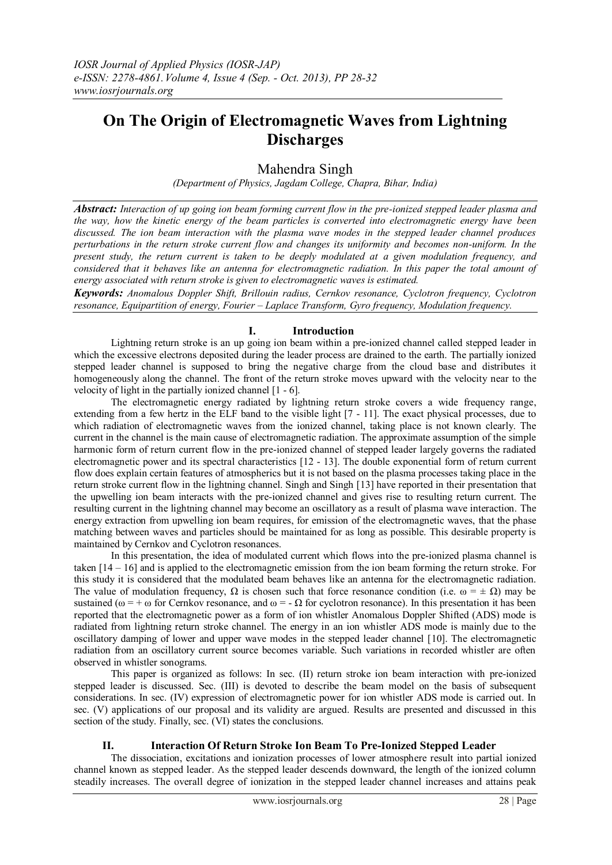# **On The Origin of Electromagnetic Waves from Lightning Discharges**

## Mahendra Singh

*(Department of Physics, Jagdam College, Chapra, Bihar, India)*

*Abstract: Interaction of up going ion beam forming current flow in the pre-ionized stepped leader plasma and the way, how the kinetic energy of the beam particles is converted into electromagnetic energy have been discussed. The ion beam interaction with the plasma wave modes in the stepped leader channel produces perturbations in the return stroke current flow and changes its uniformity and becomes non-uniform. In the present study, the return current is taken to be deeply modulated at a given modulation frequency, and considered that it behaves like an antenna for electromagnetic radiation. In this paper the total amount of energy associated with return stroke is given to electromagnetic waves is estimated.*

*Keywords: Anomalous Doppler Shift, Brillouin radius, Cernkov resonance, Cyclotron frequency, Cyclotron resonance, Equipartition of energy, Fourier – Laplace Transform, Gyro frequency, Modulation frequency.*

## **I. Introduction**

Lightning return stroke is an up going ion beam within a pre-ionized channel called stepped leader in which the excessive electrons deposited during the leader process are drained to the earth. The partially ionized stepped leader channel is supposed to bring the negative charge from the cloud base and distributes it homogeneously along the channel. The front of the return stroke moves upward with the velocity near to the velocity of light in the partially ionized channel [1 - 6].

The electromagnetic energy radiated by lightning return stroke covers a wide frequency range, extending from a few hertz in the ELF band to the visible light [7 - 11]. The exact physical processes, due to which radiation of electromagnetic waves from the ionized channel, taking place is not known clearly. The current in the channel is the main cause of electromagnetic radiation. The approximate assumption of the simple harmonic form of return current flow in the pre-ionized channel of stepped leader largely governs the radiated electromagnetic power and its spectral characteristics [12 - 13]. The double exponential form of return current flow does explain certain features of atmospherics but it is not based on the plasma processes taking place in the return stroke current flow in the lightning channel. Singh and Singh [13] have reported in their presentation that the upwelling ion beam interacts with the pre-ionized channel and gives rise to resulting return current. The resulting current in the lightning channel may become an oscillatory as a result of plasma wave interaction. The energy extraction from upwelling ion beam requires, for emission of the electromagnetic waves, that the phase matching between waves and particles should be maintained for as long as possible. This desirable property is maintained by Cernkov and Cyclotron resonances.

In this presentation, the idea of modulated current which flows into the pre-ionized plasma channel is taken [14 – 16] and is applied to the electromagnetic emission from the ion beam forming the return stroke. For this study it is considered that the modulated beam behaves like an antenna for the electromagnetic radiation. The value of modulation frequency,  $\Omega$  is chosen such that force resonance condition (i.e.  $\omega = \pm \Omega$ ) may be sustained ( $\omega = +\omega$  for Cernkov resonance, and  $\omega = -\Omega$  for cyclotron resonance). In this presentation it has been reported that the electromagnetic power as a form of ion whistler Anomalous Doppler Shifted (ADS) mode is radiated from lightning return stroke channel. The energy in an ion whistler ADS mode is mainly due to the oscillatory damping of lower and upper wave modes in the stepped leader channel [10]. The electromagnetic radiation from an oscillatory current source becomes variable. Such variations in recorded whistler are often observed in whistler sonograms.

This paper is organized as follows: In sec. (II) return stroke ion beam interaction with pre-ionized stepped leader is discussed. Sec. (III) is devoted to describe the beam model on the basis of subsequent considerations. In sec. (IV) expression of electromagnetic power for ion whistler ADS mode is carried out. In sec. (V) applications of our proposal and its validity are argued. Results are presented and discussed in this section of the study. Finally, sec. (VI) states the conclusions.

### **II. Interaction Of Return Stroke Ion Beam To Pre-Ionized Stepped Leader**

The dissociation, excitations and ionization processes of lower atmosphere result into partial ionized channel known as stepped leader. As the stepped leader descends downward, the length of the ionized column steadily increases. The overall degree of ionization in the stepped leader channel increases and attains peak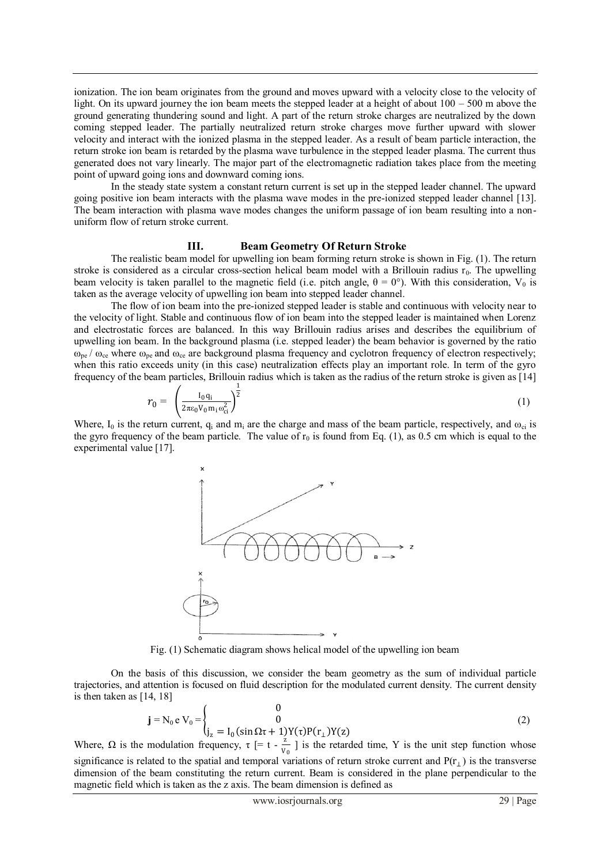ionization. The ion beam originates from the ground and moves upward with a velocity close to the velocity of light. On its upward journey the ion beam meets the stepped leader at a height of about 100 – 500 m above the ground generating thundering sound and light. A part of the return stroke charges are neutralized by the down coming stepped leader. The partially neutralized return stroke charges move further upward with slower velocity and interact with the ionized plasma in the stepped leader. As a result of beam particle interaction, the return stroke ion beam is retarded by the plasma wave turbulence in the stepped leader plasma. The current thus generated does not vary linearly. The major part of the electromagnetic radiation takes place from the meeting point of upward going ions and downward coming ions.

In the steady state system a constant return current is set up in the stepped leader channel. The upward going positive ion beam interacts with the plasma wave modes in the pre-ionized stepped leader channel [13]. The beam interaction with plasma wave modes changes the uniform passage of ion beam resulting into a nonuniform flow of return stroke current.

#### **III. Beam Geometry Of Return Stroke**

The realistic beam model for upwelling ion beam forming return stroke is shown in Fig. (1). The return stroke is considered as a circular cross-section helical beam model with a Brillouin radius  $r_0$ . The upwelling beam velocity is taken parallel to the magnetic field (i.e. pitch angle,  $\theta = 0^{\circ}$ ). With this consideration, V<sub>0</sub> is taken as the average velocity of upwelling ion beam into stepped leader channel.

The flow of ion beam into the pre-ionized stepped leader is stable and continuous with velocity near to the velocity of light. Stable and continuous flow of ion beam into the stepped leader is maintained when Lorenz and electrostatic forces are balanced. In this way Brillouin radius arises and describes the equilibrium of upwelling ion beam. In the background plasma (i.e. stepped leader) the beam behavior is governed by the ratio  $\omega_{pe}$  /  $\omega_{ce}$  where  $\omega_{pe}$  and  $\omega_{ce}$  are background plasma frequency and cyclotron frequency of electron respectively; when this ratio exceeds unity (in this case) neutralization effects play an important role. In term of the gyro frequency of the beam particles, Brillouin radius which is taken as the radius of the return stroke is given as [14]

$$
r_0 = \left(\frac{I_0 q_i}{2\pi\epsilon_0 V_0 m_i \omega_{ci}^2}\right)^{\frac{1}{2}}
$$
 (1)

Where,  $I_0$  is the return current,  $q_i$  and  $m_i$  are the charge and mass of the beam particle, respectively, and  $\omega_{ci}$  is the gyro frequency of the beam particle. The value of  $r_0$  is found from Eq. (1), as 0.5 cm which is equal to the experimental value [17].



Fig. (1) Schematic diagram shows helical model of the upwelling ion beam

On the basis of this discussion, we consider the beam geometry as the sum of individual particle trajectories, and attention is focused on fluid description for the modulated current density. The current density is then taken as [14, 18]

$$
\mathbf{j} = N_0 e V_0 = \begin{cases} 0 \\ 0 \\ j_z = I_0 (\sin \Omega \tau + 1) Y(\tau) P(r_\perp) Y(z) \end{cases}
$$
 (2)

Where,  $\Omega$  is the modulation frequency,  $\tau$  [= t -  $\frac{2}{v}$  $\frac{2}{v_0}$  ] is the retarded time, Y is the unit step function whose significance is related to the spatial and temporal variations of return stroke current and  $P(r_{\perp})$  is the transverse dimension of the beam constituting the return current. Beam is considered in the plane perpendicular to the magnetic field which is taken as the z axis. The beam dimension is defined as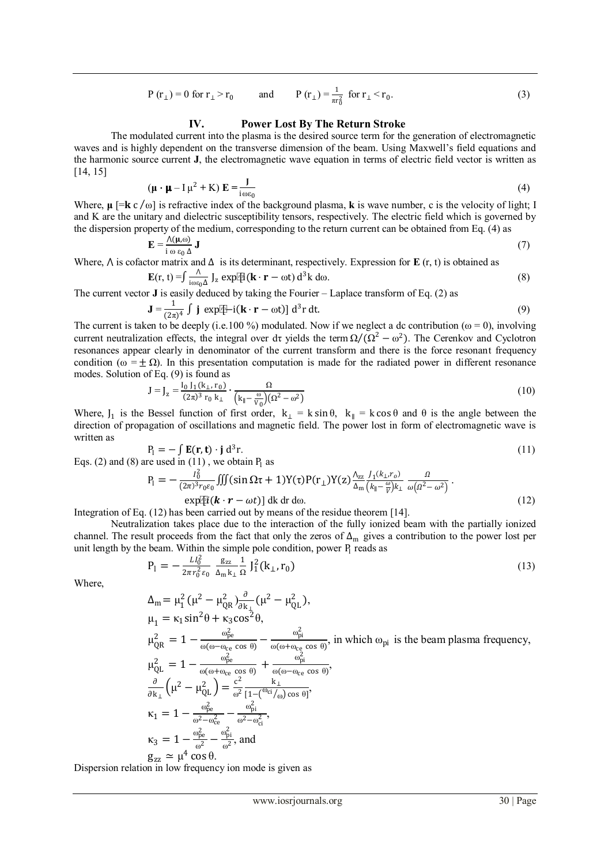$$
P(r_{\perp}) = 0
$$
 for  $r_{\perp} > r_0$  and  $P(r_{\perp}) = \frac{1}{\pi r_0^2}$  for  $r_{\perp} < r_0$ . (3)

#### **IV. Power Lost By The Return Stroke**

The modulated current into the plasma is the desired source term for the generation of electromagnetic waves and is highly dependent on the transverse dimension of the beam. Using Maxwell's field equations and the harmonic source current **J**, the electromagnetic wave equation in terms of electric field vector is written as [14, 15]

$$
(\mathbf{\mu} \cdot \mathbf{\mu} - I\,\mathbf{\mu}^2 + K)\,\mathbf{E} = \frac{J}{i\omega\varepsilon_0} \tag{4}
$$

Where,  $\mu$  [= $\mathbf{k} c/\omega$ ] is refractive index of the background plasma, **k** is wave number, c is the velocity of light; I and K are the unitary and dielectric susceptibility tensors, respectively. The electric field which is governed by the dispersion property of the medium, corresponding to the return current can be obtained from Eq. (4) as

$$
\mathbf{E} = \frac{\Lambda(\mathbf{\mu}, \omega)}{\mathbf{i} \omega \varepsilon_0 \Delta} \mathbf{J}
$$
 (7)

Where,  $\Lambda$  is cofactor matrix and  $\Delta$  is its determinant, respectively. Expression for **E** (r, t) is obtained as

$$
\mathbf{E}(\mathbf{r}, t) = \int \frac{\Lambda}{i\omega \varepsilon_0 \Delta} \int_{\mathbf{Z}} \exp[\mathbf{F}(\mathbf{k} \cdot \mathbf{r} - \omega t) d^3 \mathbf{k} d\omega. \tag{8}
$$

The current vector **J** is easily deduced by taking the Fourier – Laplace transform of Eq. (2) as

$$
\mathbf{J} = \frac{1}{(2\pi)^4} \int \mathbf{j} \exp[\mathbf{F} - \mathbf{i}(\mathbf{k} \cdot \mathbf{r} - \omega t)] d^3 r dt.
$$
 (9)

The current is taken to be deeply (i.e.100 %) modulated. Now if we neglect a dc contribution ( $\omega = 0$ ), involving current neutralization effects, the integral over dτ yields the term  $\Omega/(\Omega^2 - \omega^2)$ . The Cerenkov and Cyclotron resonances appear clearly in denominator of the current transform and there is the force resonant frequency condition ( $\omega = \pm \Omega$ ). In this presentation computation is made for the radiated power in different resonance modes. Solution of Eq. (9) is found as

$$
J = J_z = \frac{I_0 I_1 (k_\perp, r_0)}{(2\pi)^3 r_0 k_\perp} \cdot \frac{\Omega}{\left(k_\parallel - \frac{\omega}{V_0}\right) (\Omega^2 - \omega^2)}
$$
(10)

Where,  $J_1$  is the Bessel function of first order,  $k_{\perp} = k \sin \theta$ ,  $k_{\parallel} = k \cos \theta$  and  $\theta$  is the angle between the direction of propagation of oscillations and magnetic field. The power lost in form of electromagnetic wave is written as

$$
P_1 = -\int \mathbf{E}(\mathbf{r}, \mathbf{t}) \cdot \mathbf{j} d^3 \mathbf{r}.
$$
  
\nEqs. (2) and (8) are used in (11), we obtain P<sub>1</sub> as  
\n
$$
P_1 = -\frac{I_0^2}{(2\pi)^3 r_0 \epsilon_0} \iiint (\sin \Omega \tau + 1) Y(\tau) P(\mathbf{r}_\perp) Y(\tau) \frac{\Lambda_{zz}}{\Lambda_{zz}} \frac{J_1(k_\perp r_0)}{(L_\infty \omega) k_\perp} \frac{\Omega}{\omega(\Omega^2 - \omega^2)}.
$$
\n(11)

$$
P_1 = -\frac{I_0}{(2\pi)^3 r_0 \varepsilon_0} \iiint (\sin \Omega \tau + 1) Y(\tau) P(r_\perp) Y(z) \frac{\lambda_{zz}}{\Delta_m} \frac{J_1(\lambda_\perp, \theta)}{\left(k_\parallel - \frac{\omega}{V}\right)k_\perp} \frac{I_2}{\omega(\Omega^2 - \omega^2)}.
$$
\n
$$
\exp[\tilde{t}(\mathbf{k} \cdot \mathbf{r} - \omega t)] \, \mathrm{d}\mathbf{k} \, \mathrm{d}\mathbf{r} \, \mathrm{d}\omega. \tag{12}
$$

Integration of Eq. (12) has been carried out by means of the residue theorem [14].

Neutralization takes place due to the interaction of the fully ionized beam with the partially ionized channel. The result proceeds from the fact that only the zeros of  $\Delta_m$  gives a contribution to the power lost per unit length by the beam. Within the simple pole condition, power  $P_1$  reads as

$$
P_1 = -\frac{Ll_0^2}{2\pi r_0^2 \varepsilon_0} \frac{g_{zz}}{\Delta_m k_\perp} \frac{1}{\Omega} J_1^2(k_\perp, r_0)
$$
\n(13)

Where,

$$
\Delta_{m} = \mu_{1}^{2} (\mu^{2} - \mu_{QR}^{2}) \frac{\partial}{\partial k_{\perp}} (\mu^{2} - \mu_{QL}^{2}),
$$
\n
$$
\mu_{1} = \kappa_{1} \sin^{2} \theta + \kappa_{3} \cos^{2} \theta,
$$
\n
$$
\mu_{QR}^{2} = 1 - \frac{\omega_{pe}^{2}}{\omega(\omega - \omega_{ce} \cos \theta)} - \frac{\omega_{pi}^{2}}{\omega(\omega + \omega_{ce} \cos \theta)}, \text{ in which } \omega_{pi} \text{ is the beam plasma frequency,}
$$
\n
$$
\mu_{QL}^{2} = 1 - \frac{\omega_{pe}^{2}}{\omega(\omega + \omega_{ce} \cos \theta)} + \frac{\omega_{pi}^{2}}{\omega(\omega - \omega_{ce} \cos \theta)},
$$
\n
$$
\frac{\partial}{\partial k_{\perp}} (\mu^{2} - \mu_{QL}^{2}) = \frac{c^{2}}{\omega^{2}} \frac{k_{\perp}}{[1 - (\omega_{ci}/\omega) \cos \theta]},
$$
\n
$$
\kappa_{1} = 1 - \frac{\omega_{pe}^{2}}{\omega^{2} - \omega_{ce}^{2}} - \frac{\omega_{pi}^{2}}{\omega^{2} - \omega_{ci}^{2}},
$$
\n
$$
\kappa_{3} = 1 - \frac{\omega_{pe}^{2}}{\omega^{2}} - \frac{\omega_{pi}^{2}}{\omega^{2}}, \text{ and}
$$

Dispersion relation in low frequency ion mode is given as

 $g_{zz} \simeq \mu^4 \cos \theta$ .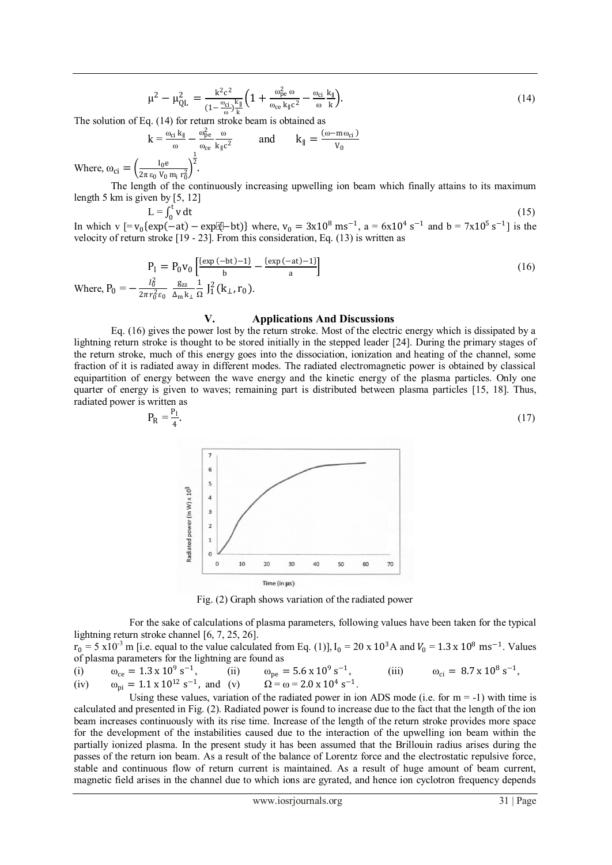$$
\mu^2 - \mu_{QL}^2 = \frac{k^2 c^2}{\left(1 - \frac{\omega_{ci}}{\omega}\right) \frac{k_{\parallel}}{k}} \left(1 + \frac{\omega_{pe}^2 \omega}{\omega_{ce} k_{\parallel} c^2} - \frac{\omega_{ci}}{\omega} \frac{k_{\parallel}}{k}\right).
$$
\n(14)

The solution of Eq. (14) for return stroke beam is obtained as

 $k = \frac{\omega_{ci} k_{\parallel}}{\omega} - \frac{\omega_{pe}^2}{\omega_{ce}}$ ωce ω  $\frac{\omega}{k_{\parallel}c^2}$  and  $k_{\parallel} = \frac{(\omega - m\omega_{ci})}{V_0}$  $V_0$  $\frac{1}{2}$ .

Where,  $\omega_{ci} = \left(\frac{I_0 e}{2\pi \varepsilon_0 V_0}\right)$  $\frac{10^{\circ}}{2\pi \epsilon_0 V_0 m_i r_0^2}$ 

The length of the continuously increasing upwelling ion beam which finally attains to its maximum length 5 km is given by [5, 12]

 $L = \int_0^t v dt$ In which v  $[=v_0\{\exp(-at) - \exp(-at)\}$  where,  $v_0 = 3x10^8$  ms<sup>-1</sup>, a = 6x10<sup>4</sup> s<sup>-1</sup> and b = 7x10<sup>5</sup> s<sup>-1</sup>] is the (15) velocity of return stroke [19 - 23]. From this consideration, Eq. (13) is written as

$$
P_1 = P_0 v_0 \left[ \frac{\left(\exp(-bt) - 1\right)}{b} - \frac{\left(\exp(-at) - 1\right)}{a} \right]
$$
  
Where, 
$$
P_0 = -\frac{I_0^2}{2\pi r_0^2 \epsilon_0} \frac{g_{zz}}{\Delta_m k_1} \frac{1}{\Omega} J_1^2 (k_1, r_0).
$$
 (16)

#### **V. Applications And Discussions**

Eq. (16) gives the power lost by the return stroke. Most of the electric energy which is dissipated by a lightning return stroke is thought to be stored initially in the stepped leader [24]. During the primary stages of the return stroke, much of this energy goes into the dissociation, ionization and heating of the channel, some fraction of it is radiated away in different modes. The radiated electromagnetic power is obtained by classical equipartition of energy between the wave energy and the kinetic energy of the plasma particles. Only one quarter of energy is given to waves; remaining part is distributed between plasma particles [15, 18]. Thus, radiated power is written as

$$
P_R = \frac{P_1}{4}.\tag{17}
$$



Fig. (2) Graph shows variation of the radiated power

For the sake of calculations of plasma parameters, following values have been taken for the typical lightning return stroke channel [6, 7, 25, 26].

 $r_0 = 5 \times 10^{-3}$  m [i.e. equal to the value calculated from Eq. (1)], I<sub>0</sub> = 20 x 10<sup>3</sup>A and  $V_0 = 1.3 \times 10^8$  ms<sup>-1</sup>. Values of plasma parameters for the lightning are found as

(i)  $\omega_{ce} = 1.3 \times 10^9 \text{ s}^{-1}$ , (ii)  $\omega_{pe} = 5.6 \times 10^9 \text{ s}^{-1}$ , (iii)  $\omega_{ci} = 8.7 \times 10^8 \text{ s}^{-1}$ , (iv)  $\omega_{pi} = 1.1 \times 10^{12} \text{ s}^{-1}$ , and (v)  $\Omega = \omega = 2.0 \times 10^4 \text{ s}^{-1}$ .

Using these values, variation of the radiated power in ion ADS mode (i.e. for  $m = -1$ ) with time is calculated and presented in Fig. (2). Radiated power is found to increase due to the fact that the length of the ion beam increases continuously with its rise time. Increase of the length of the return stroke provides more space for the development of the instabilities caused due to the interaction of the upwelling ion beam within the partially ionized plasma. In the present study it has been assumed that the Brillouin radius arises during the passes of the return ion beam. As a result of the balance of Lorentz force and the electrostatic repulsive force, stable and continuous flow of return current is maintained. As a result of huge amount of beam current, magnetic field arises in the channel due to which ions are gyrated, and hence ion cyclotron frequency depends